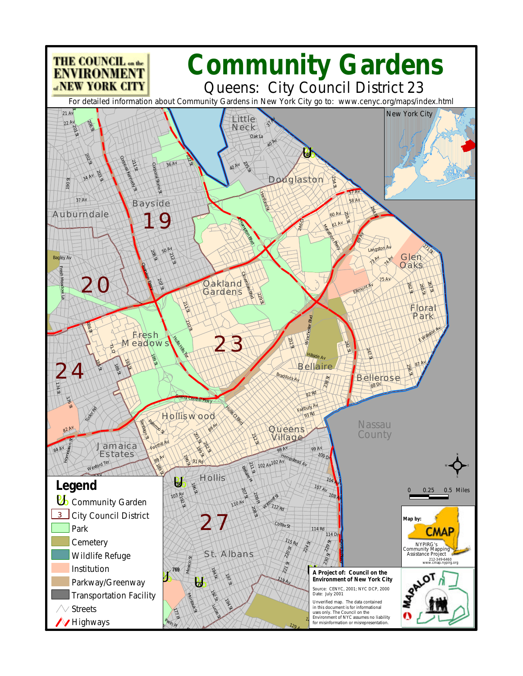